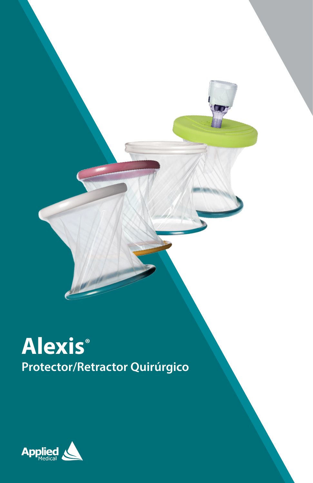

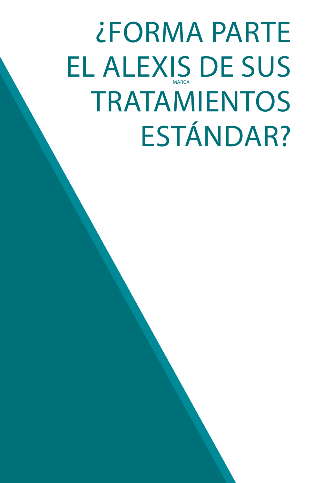# ¿FORMA PARTE EL ALEXIS DE SUS TRATAMIENTOS ESTÁNDAR? MARCA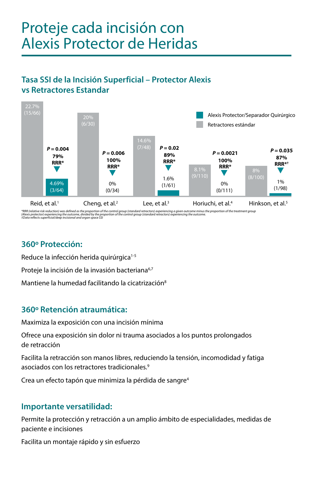## Proteje cada incisión con Alexis Protector de Heridas

## **Tasa SSI de la Incisión Superficial – Protector Alexis vs Retractores Estandar**



\*RRR (relative risk reduction) was defined as the proportion of the control group (standard retractors) experiencing a given outcome minus the proportion of the treatment group<br>(Alexis protector) experiencing the outcome,

## **360º Protección:**

Reduce la infección herida quirúrgica<sup>1-5</sup>

Proteje la incisión de la invasión bacteriana<sup>6,7</sup>

Mantiene la humedad facilitando la cicatrización<sup>8</sup>

## **360º Retención atraumática:**

Maximiza la exposición con una incisión mínima

Ofrece una exposición sin dolor ni trauma asociados a los puntos prolongados de retracción

Facilita la retracción son manos libres, reduciendo la tensión, incomodidad y fatiga asociados con los retractores tradicionales.9

Crea un efecto tapón que minimiza la pérdida de sangre<sup>4</sup>

## **Importante versatilidad:**

Permite la protección y retracción a un amplio ámbito de especialidades, medidas de paciente e incisiones

Facilita un montaje rápido y sin esfuerzo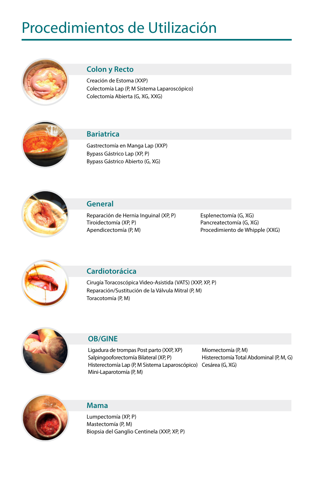## Procedimientos de Utilización



### **Colon y Recto**

Creación de Estoma (XXP) Colectomía Lap (P, M Sistema Laparoscópico) Colectomía Abierta (G, XG, XXG)



#### **Bariatrica**

Gastrectomía en Manga Lap (XXP) Bypass Gástrico Lap (XP, P) Bypass Gástrico Abierto (G, XG)



### **General**

Reparación de Hernia Inguinal (XP, P) Tiroidectomía (XP, P) Apendicectomía (P, M)

Esplenectomía (G, XG) Pancreatectomía (G, XG) Procedimiento de Whipple (XXG)



### **Cardiotorácica**

Cirugía Toracoscópica Video-Asistida (VATS) (XXP, XP, P) Reparación/Sustitución de la Válvula Mitral (P, M) Toracotomía (P, M)



#### **OB/GINE**

Ligadura de trompas Post parto (XXP, XP) Salpingooforectomía Bilateral (XP, P) Histerectomía Lap (P, M Sistema Laparoscópico) Cesárea (G, XG) Mini-Laparotomía (P, M)

Miomectomía (P, M) Histerectomía Total Abdominal (P, M, G)



#### **Mama**

Lumpectomía (XP, P) Mastectomía (P, M) Biopsia del Ganglio Centinela (XXP, XP, P)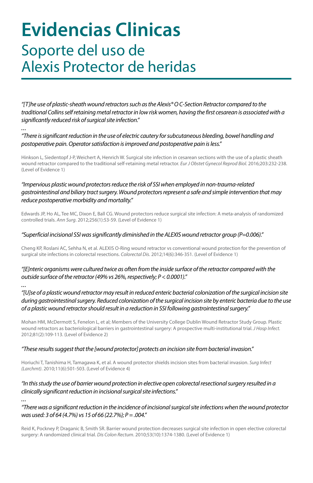## **Evidencias Clinicas** Soporte del uso de Alexis Protector de heridas

*"[T]he use of plastic-sheath wound retractors such as the Alexis® O C-Section Retractor compared to the traditional Collins self retaining metal retractor in low risk women, having the first cesarean is associated with a significantly reduced risk of surgical site infection."*

#### *"There is significant reduction in the use of electric cautery for subcutaneous bleeding, bowel handling and postoperative pain. Operator satisfaction is improved and postoperative pain is less."*

Hinkson L, Siedentopf J-P, Weichert A, Henrich W. Surgical site infection in cesarean sections with the use of a plastic sheath wound retractor compared to the traditional self-retaining metal retractor. *Eur J Obstet Gynecol Reprod Biol.* 2016;203:232-238. (Level of Evidence 1)

#### *"Impervious plastic wound protectors reduce the risk of SSI when employed in non-trauma-related gastrointestinal and biliary tract surgery. Wound protectors represent a safe and simple intervention that may reduce postoperative morbidity and mortality."*

Edwards JP, Ho AL, Tee MC, Dixon E, Ball CG. Wound protectors reduce surgical site infection: A meta-analysis of randomized controlled trials. *Ann Surg*. 2012;256(1):53-59. (Level of Evidence 1)

#### *"Superficial incisional SSI was significantly diminished in the ALEXIS wound retractor group (P=0.006)."*

Cheng KP, Roslani AC, Sehha N, et al. ALEXIS O-Ring wound retractor vs conventional wound protection for the prevention of surgical site infections in colorectal resections. *Colorectal Dis*. 2012;14(6):346-351. (Level of Evidence 1)

#### *"[E]nteric organisms were cultured twice as often from the inside surface of the retractor compared with the outside surface of the retractor (49% vs 26%, respectively; P < 0.0001)."*

*...*

*...*

*"[U]se of a plastic wound retractor may result in reduced enteric bacterial colonization of the surgical incision site during gastrointestinal surgery. Reduced colonization of the surgical incision site by enteric bacteria due to the use of a plastic wound retractor should result in a reduction in SSI following gastrointestinal surgery."*

Mohan HM, McDermott S, Fenelon L, et al; Members of the University College Dublin Wound Retractor Study Group. Plastic wound retractors as bacteriological barriers in gastrointestinal surgery: A prospective multi-institutional trial. *J Hosp Infect.* 2012;81(2):109-113. (Level of Evidence 2)

#### *"These results suggest that the [wound protector] protects an incision site from bacterial invasion."*

Horiuchi T, Tanishima H, Tamagawa K, et al. A wound protector shields incision sites from bacterial invasion. *Surg Infect (Larchmt)*. 2010;11(6):501-503. (Level of Evidence 4)

#### *"In this study the use of barrier wound protection in elective open colorectal resectional surgery resulted in a clinically significant reduction in incisional surgical site infections."*

#### *"There was a significant reduction in the incidence of incisional surgical site infections when the wound protector was used: 3 of 64 (4.7%) vs 15 of 66 (22.7%); P = .004."*

Reid K, Pockney P, Draganic B, Smith SR. Barrier wound protection decreases surgical site infection in open elective colorectal surgery: A randomized clinical trial. *Dis Colon Rectum*. 2010;53(10):1374-1380. (Level of Evidence 1)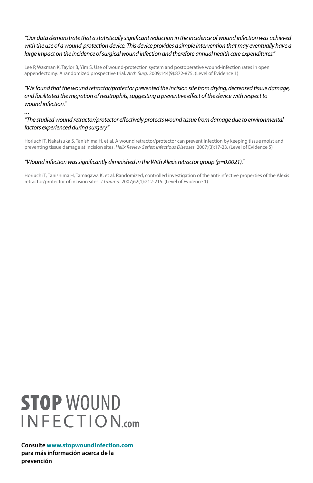#### *"Our data demonstrate that a statistically significant reduction in the incidence of wound infection was achieved*  with the use of a wound-protection device. This device provides a simple intervention that may eventually have a *large impact on the incidence of surgical wound infection and therefore annual health care expenditures."*

Lee P, Waxman K, Taylor B, Yim S. Use of wound-protection system and postoperative wound-infection rates in open appendectomy: A randomized prospective trial. *Arch Surg*. 2009;144(9):872-875. (Level of Evidence 1)

*"We found that the wound retractor/protector prevented the incision site from drying, decreased tissue damage, and facilitated the migration of neutrophils, suggesting a preventive effect of the device with respect to wound infection."*

*...*

#### *"The studied wound retractor/protector effectively protects wound tissue from damage due to environmental factors experienced during surgery."*

Horiuchi T, Nakatsuka S, Tanishima H, et al. A wound retractor/protector can prevent infection by keeping tissue moist and preventing tissue damage at incision sites. *Helix Review Series: Infectious Diseases*. 2007;(3):17-23. (Level of Evidence 5)

#### *"Wound infection was significantly diminished in the With Alexis retractor group (p=0.0021)."*

Horiuchi T, Tanishima H, Tamagawa K, et al. Randomized, controlled investigation of the anti-infective properties of the Alexis retractor/protector of incision sites. *J Trauma*. 2007;62(1):212-215. (Level of Evidence 1)

## **STOP WOUND INFECTION.com**

**Consulte www.stopwoundinfection.com para más información acerca de la prevención**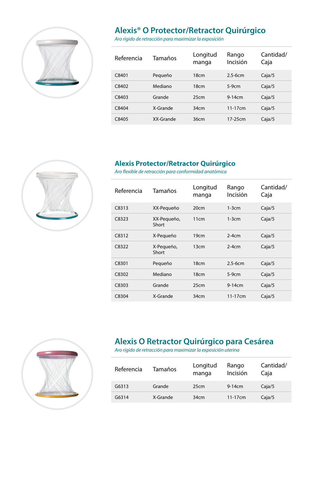

## **Alexis® O Protector/Retractor Quirúrgico**

*Aro rígido de retracción para maximizar la exposición*

| Referencia | Tamaños   | Longitud<br>manga | Rango<br>Incisión | Cantidad/<br>Caja |
|------------|-----------|-------------------|-------------------|-------------------|
| C8401      | Pequeño   | 18 <sub>cm</sub>  | $25-6cm$          | Caja/5            |
| C8402      | Mediano   | 18 <sub>cm</sub>  | $5-9cm$           | Caja/5            |
| C8403      | Grande    | 25cm              | $9-14cm$          | Caja/5            |
| C8404      | X-Grande  | 34cm              | $11-17cm$         | Caja/5            |
| C8405      | XX-Grande | 36cm              | 17-25cm           | Caja/5            |



*Aro flexible de retracción para conformidad anatómica*

| Referencia | Tamaños              | Longitud<br>manga | Rango<br>Incisión | Cantidad/<br>Caja |
|------------|----------------------|-------------------|-------------------|-------------------|
| C8313      | XX-Pequeño           | 20cm              | $1-3cm$           | Caja/5            |
| C8323      | XX-Pequeño,<br>Short | 11cm              | $1-3cm$           | Caja/5            |
| C8312      | X-Pequeño            | 19cm              | $2-4cm$           | Caja/5            |
| C8322      | X-Pequeño,<br>Short  | 13cm              | $2-4cm$           | Caja/5            |
| C8301      | Pequeño              | 18cm              | $2.5-6cm$         | Caja/5            |
| C8302      | Mediano              | 18 <sub>cm</sub>  | $5-9cm$           | Caja/5            |
| C8303      | Grande               | 25cm              | $9-14cm$          | Caja/5            |
| C8304      | X-Grande             | 34cm              | $11-17cm$         | Caja/5            |



## **Alexis O Retractor Quirúrgico para Cesárea**

*Aro rígido de retracción para maximizar la exposición uterina*

| Referencia | Tamaños  | Longitud<br>manga | Rango<br>Incisión | Cantidad/<br>Caia |
|------------|----------|-------------------|-------------------|-------------------|
| G6313      | Grande   | 25cm              | $9-14cm$          | Caja/5            |
| G6314      | X-Grande | 34cm              | $11 - 17$ cm      | Caja/5            |